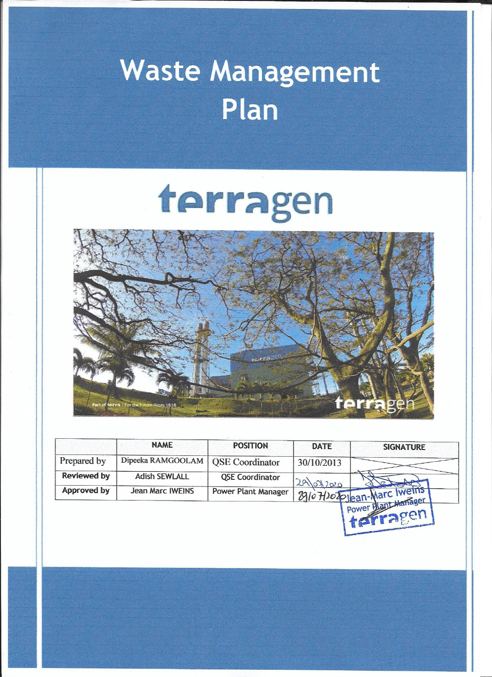## Waste Management Plan

# terragen



|                    | <b>NAME</b>          | <b>POSITION</b>            | <b>DATE</b> | <b>SIGNATURE</b>                                 |
|--------------------|----------------------|----------------------------|-------------|--------------------------------------------------|
| Prepared by        | Dipeeka RAMGOOLAM    | <b>QSE</b> Coordinator     | 30/10/2013  |                                                  |
| <b>Reviewed by</b> | <b>Adish SEWLALL</b> | <b>QSE Coordinator</b>     |             |                                                  |
| Approved by        | Jean Marc IWEINS     | <b>Power Plant Manager</b> | 29012020    | Blo Hlozojean-Marc Iweins<br>power Plant Manager |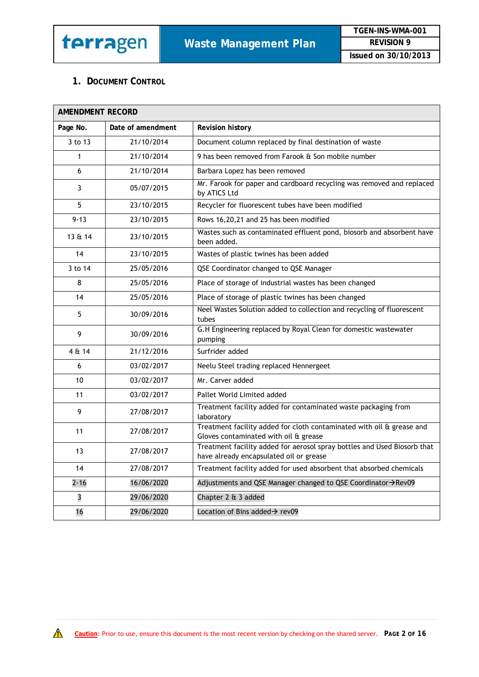

 $\bigwedge$ 

#### **1. DOCUMENT CONTROL**

| <b>AMENDMENT RECORD</b> |                   |                                                                                                                             |
|-------------------------|-------------------|-----------------------------------------------------------------------------------------------------------------------------|
| Page No.                | Date of amendment | <b>Revision history</b>                                                                                                     |
| 3 to 13                 | 21/10/2014        | Document column replaced by final destination of waste                                                                      |
| 1                       | 21/10/2014        | 9 has been removed from Farook & Son mobile number                                                                          |
| 6                       | 21/10/2014        | Barbara Lopez has been removed                                                                                              |
| 3                       | 05/07/2015        | Mr. Farook for paper and cardboard recycling was removed and replaced<br>by ATICS Ltd                                       |
| 5                       | 23/10/2015        | Recycler for fluorescent tubes have been modified                                                                           |
| $9 - 13$                | 23/10/2015        | Rows 16,20,21 and 25 has been modified                                                                                      |
| 13 & 14                 | 23/10/2015        | Wastes such as contaminated effluent pond, biosorb and absorbent have<br>been added.                                        |
| 14                      | 23/10/2015        | Wastes of plastic twines has been added                                                                                     |
| 3 to 14                 | 25/05/2016        | QSE Coordinator changed to QSE Manager                                                                                      |
| 8                       | 25/05/2016        | Place of storage of industrial wastes has been changed                                                                      |
| 14                      | 25/05/2016        | Place of storage of plastic twines has been changed                                                                         |
| 5                       | 30/09/2016        | Neel Wastes Solution added to collection and recycling of fluorescent<br>tubes                                              |
| 9                       | 30/09/2016        | G.H Engineering replaced by Royal Clean for domestic wastewater<br>pumping                                                  |
| 4 & 14                  | 21/12/2016        | Surfrider added                                                                                                             |
| 6                       | 03/02/2017        | Neelu Steel trading replaced Hennergeet                                                                                     |
| 10                      | 03/02/2017        | Mr. Carver added                                                                                                            |
| 11                      | 03/02/2017        | Pallet World Limited added                                                                                                  |
| 9                       | 27/08/2017        | Treatment facility added for contaminated waste packaging from<br>laboratory                                                |
| 11                      | 27/08/2017        | Treatment facility added for cloth contaminated with oil $\overline{a}$ grease and<br>Gloves contaminated with oil & grease |
| 13                      | 27/08/2017        | Treatment facility added for aerosol spray bottles and Used Biosorb that<br>have already encapsulated oil or grease         |
| 14                      | 27/08/2017        | Treatment facility added for used absorbent that absorbed chemicals                                                         |
| $2 - 16$                | 16/06/2020        | Adjustments and QSE Manager changed to QSE Coordinator→Rev09                                                                |
| 3                       | 29/06/2020        | Chapter 2 & 3 added                                                                                                         |
| 16                      | 29/06/2020        | Location of Bins added $\rightarrow$ rev09                                                                                  |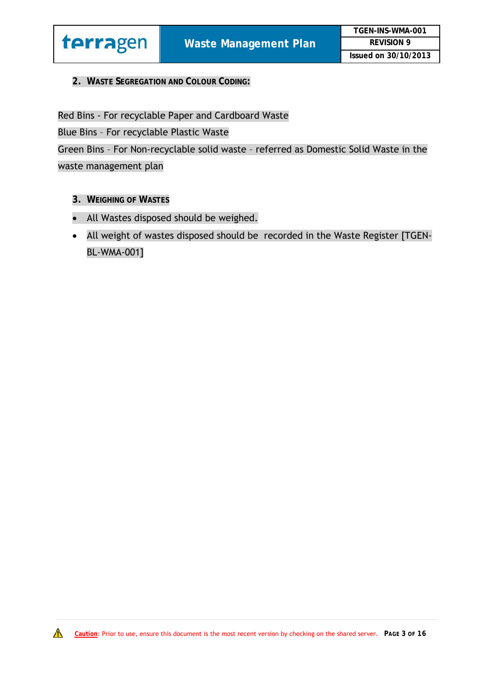

#### **2. WASTE SEGREGATION AND COLOUR CODING:**

Red Bins - For recyclable Paper and Cardboard Waste

Blue Bins – For recyclable Plastic Waste

Green Bins – For Non-recyclable solid waste – referred as Domestic Solid Waste in the waste management plan

- **3. WEIGHING OF WASTES**
- All Wastes disposed should be weighed.
- All weight of wastes disposed should be recorded in the Waste Register [TGEN-BL-WMA-001]

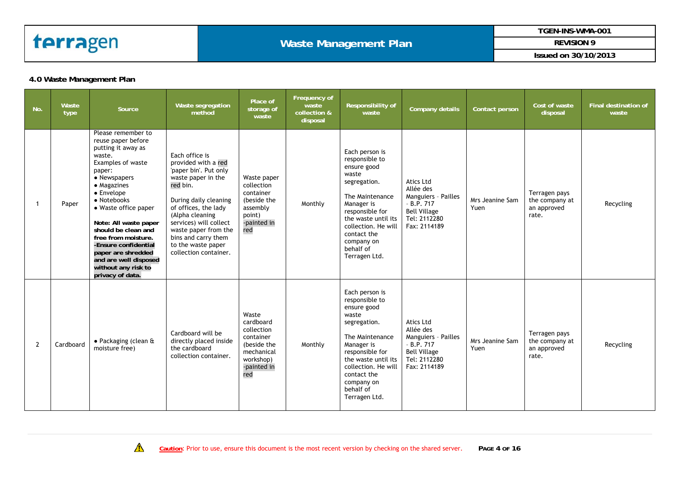

#### **Waste Management Plan**

**TGEN-INS-WMA-001** 

**REVISION 9** 

**Issued on 30/10/2013** 

#### **4.0 Waste Management Plan**

| No.            | Waste<br>type | Source                                                                                                                                                                                                                                                                                                                                                                               | Waste segregation<br>method                                                                                                                                                                                                                                                                  | Place of<br>storage of<br>waste                                                                               | Frequency of<br>waste<br>collection &<br>disposal | <b>Responsibility of</b><br>waste                                                                                                                                                                                                     | Company details                                                                                                           | Contact person          | Cost of waste<br>disposal                               | Final destination of<br>waste |
|----------------|---------------|--------------------------------------------------------------------------------------------------------------------------------------------------------------------------------------------------------------------------------------------------------------------------------------------------------------------------------------------------------------------------------------|----------------------------------------------------------------------------------------------------------------------------------------------------------------------------------------------------------------------------------------------------------------------------------------------|---------------------------------------------------------------------------------------------------------------|---------------------------------------------------|---------------------------------------------------------------------------------------------------------------------------------------------------------------------------------------------------------------------------------------|---------------------------------------------------------------------------------------------------------------------------|-------------------------|---------------------------------------------------------|-------------------------------|
| -1             | Paper         | Please remember to<br>reuse paper before<br>putting it away as<br>waste.<br>Examples of waste<br>paper:<br>• Newspapers<br>• Magazines<br>• Envelope<br>• Notebooks<br>• Waste office paper<br>Note: All waste paper<br>should be clean and<br>free from moisture.<br>-Ensure confidential<br>paper are shredded<br>and are well disposed<br>without any risk to<br>privacy of data. | Each office is<br>provided with a red<br>'paper bin'. Put only<br>waste paper in the<br>red bin.<br>During daily cleaning<br>of offices, the lady<br>(Alpha cleaning<br>services) will collect<br>waste paper from the<br>bins and carry them<br>to the waste paper<br>collection container. | Waste paper<br>collection<br>container<br>(beside the<br>assembly<br>point)<br>-painted in<br>red             | Monthly                                           | Each person is<br>responsible to<br>ensure good<br>waste<br>segregation.<br>The Maintenance<br>Manager is<br>responsible for<br>the waste until its<br>collection. He will<br>contact the<br>company on<br>behalf of<br>Terragen Ltd. | <b>Atics Ltd</b><br>Allée des<br>Manguiers - Pailles<br>$-B.P.717$<br><b>Bell Village</b><br>Tel: 2112280<br>Fax: 2114189 | Mrs Jeanine Sam<br>Yuen | Terragen pays<br>the company at<br>an approved<br>rate. | Recycling                     |
| $\overline{2}$ | Cardboard     | $\bullet$ Packaging (clean &<br>moisture free)                                                                                                                                                                                                                                                                                                                                       | Cardboard will be<br>directly placed inside<br>the cardboard<br>collection container.                                                                                                                                                                                                        | Waste<br>cardboard<br>collection<br>container<br>(beside the<br>mechanical<br>workshop)<br>-painted in<br>red | Monthly                                           | Each person is<br>responsible to<br>ensure good<br>waste<br>segregation.<br>The Maintenance<br>Manager is<br>responsible for<br>the waste until its<br>collection. He will<br>contact the<br>company on<br>behalf of<br>Terragen Ltd. | Atics Ltd<br>Allée des<br>Manguiers - Pailles<br>$-B.P.717$<br><b>Bell Village</b><br>Tel: 2112280<br>Fax: 2114189        | Mrs Jeanine Sam<br>Yuen | Terragen pays<br>the company at<br>an approved<br>rate. | Recycling                     |

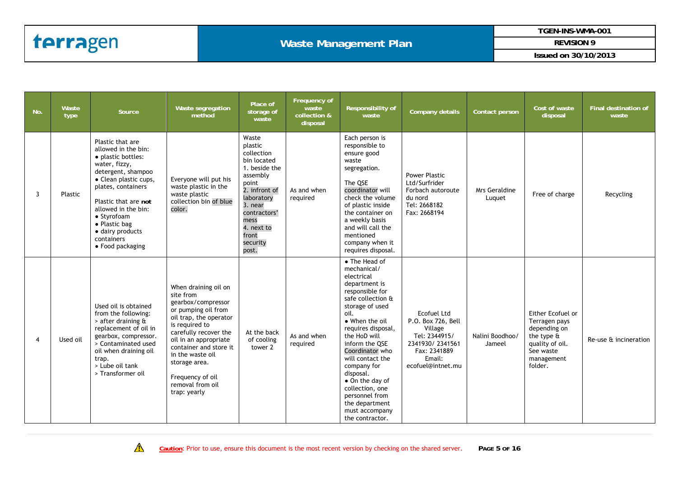#### **Waste Management Plan**

**TGEN-INS-WMA-001** 

**REVISION 9** 

| No. | Waste<br>type | Source                                                                                                                                                                                                                                                                                   | Waste segregation<br>method                                                                                                                                                                                                                                                                         | Place of<br>storage of<br>waste                                                                                                                                                                   | Frequency of<br>waste<br>collection &<br>disposal | Responsibility of<br>waste                                                                                                                                                                                                                                                                                                                                                                 | <b>Company details</b>                                                                                                                 | Contact person            | Cost of waste<br>disposal                                                                                                                  | <b>Final destination of</b><br>waste |
|-----|---------------|------------------------------------------------------------------------------------------------------------------------------------------------------------------------------------------------------------------------------------------------------------------------------------------|-----------------------------------------------------------------------------------------------------------------------------------------------------------------------------------------------------------------------------------------------------------------------------------------------------|---------------------------------------------------------------------------------------------------------------------------------------------------------------------------------------------------|---------------------------------------------------|--------------------------------------------------------------------------------------------------------------------------------------------------------------------------------------------------------------------------------------------------------------------------------------------------------------------------------------------------------------------------------------------|----------------------------------------------------------------------------------------------------------------------------------------|---------------------------|--------------------------------------------------------------------------------------------------------------------------------------------|--------------------------------------|
| 3   | Plastic       | Plastic that are<br>allowed in the bin:<br>• plastic bottles:<br>water, fizzy,<br>detergent, shampoo<br>• Clean plastic cups,<br>plates, containers<br>Plastic that are not<br>allowed in the bin:<br>• Styrofoam<br>• Plastic bag<br>· dairy products<br>containers<br>• Food packaging | Everyone will put his<br>waste plastic in the<br>waste plastic<br>collection bin of blue<br>color.                                                                                                                                                                                                  | Waste<br>plastic<br>collection<br>bin located<br>1. beside the<br>assembly<br>point<br>2. infront of<br>laboratory<br>3. near<br>contractors'<br>mess<br>4. next to<br>front<br>security<br>post. | As and when<br>required                           | Each person is<br>responsible to<br>ensure good<br>waste<br>segregation.<br>The QSE<br>coordinator will<br>check the volume<br>of plastic inside<br>the container on<br>a weekly basis<br>and will call the<br>mentioned<br>company when it<br>requires disposal.                                                                                                                          | Power Plastic<br>Ltd/Surfrider<br>Forbach autoroute<br>du nord<br>Tel: 2668182<br>Fax: 2668194                                         | Mrs Geraldine<br>Luquet   | Free of charge                                                                                                                             | Recycling                            |
| 4   | Used oil      | Used oil is obtained<br>from the following:<br>> after draining &<br>replacement of oil in<br>gearbox, compressor.<br>> Contaminated used<br>oil when draining oil<br>trap.<br>> Lube oil tank<br>> Transformer oil                                                                      | When draining oil on<br>site from<br>gearbox/compressor<br>or pumping oil from<br>oil trap, the operator<br>is required to<br>carefully recover the<br>oil in an appropriate<br>container and store it<br>in the waste oil<br>storage area.<br>Frequency of oil<br>removal from oil<br>trap: yearly | At the back<br>of cooling<br>tower 2                                                                                                                                                              | As and when<br>required                           | • The Head of<br>mechanical/<br>electrical<br>department is<br>responsible for<br>safe collection &<br>storage of used<br>oil.<br>• When the oil<br>requires disposal,<br>the HoD will<br>inform the QSE<br>Coordinator who<br>will contact the<br>company for<br>disposal.<br>• On the day of<br>collection, one<br>personnel from<br>the department<br>must accompany<br>the contractor. | <b>Ecofuel Ltd</b><br>P.O. Box 726, Bell<br>Village<br>Tel: 2344915/<br>2341930/2341561<br>Fax: 2341889<br>Email:<br>ecofuel@intnet.mu | Nalini Boodhoo/<br>Jameel | Either Ecofuel or<br>Terragen pays<br>depending on<br>the type $\mathbf{\hat{a}}$<br>quality of oil.<br>See waste<br>management<br>folder. | Re-use & incineration                |

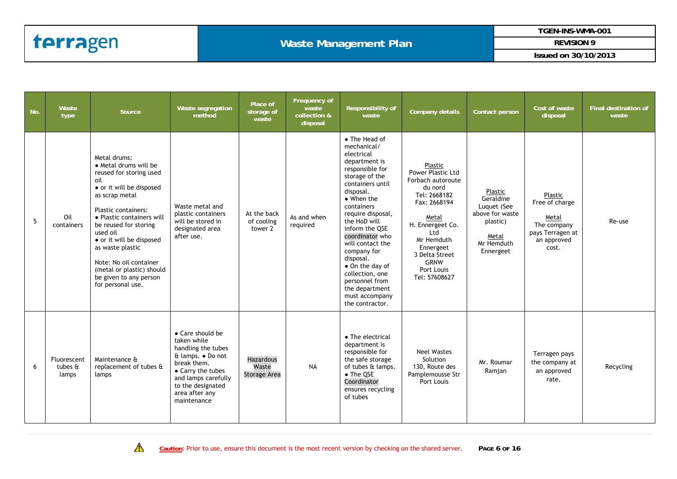#### **Waste Management Plan**

**TGEN-INS-WMA-001** 

**REVISION 9** 

| No. | Waste<br>type                                    | Source                                                                                                                                                                                                                                                                                                                                                               | Waste segregation<br>method                                                                                                                                                                 | Place of<br>storage of<br>waste           | Frequency of<br>waste<br>collection &<br>disposal | Responsibility of<br>waste                                                                                                                                                                                                                                                                                                                                                                                     | Company details                                                                                                                                                                                                             | Contact person                                                                                         | Cost of waste<br>disposal                                                                     | <b>Final destination of</b><br>waste |
|-----|--------------------------------------------------|----------------------------------------------------------------------------------------------------------------------------------------------------------------------------------------------------------------------------------------------------------------------------------------------------------------------------------------------------------------------|---------------------------------------------------------------------------------------------------------------------------------------------------------------------------------------------|-------------------------------------------|---------------------------------------------------|----------------------------------------------------------------------------------------------------------------------------------------------------------------------------------------------------------------------------------------------------------------------------------------------------------------------------------------------------------------------------------------------------------------|-----------------------------------------------------------------------------------------------------------------------------------------------------------------------------------------------------------------------------|--------------------------------------------------------------------------------------------------------|-----------------------------------------------------------------------------------------------|--------------------------------------|
| 5   | Oil<br>containers                                | Metal drums:<br>• Metal drums will be<br>reused for storing used<br>oil<br>• or it will be disposed<br>as scrap metal<br>Plastic containers:<br>• Plastic containers will<br>be reused for storing<br>used oil<br>• or it will be disposed<br>as waste plastic<br>Note: No oil container<br>(metal or plastic) should<br>be given to any person<br>for personal use. | Waste metal and<br>plastic containers<br>will be stored in<br>designated area<br>after use.                                                                                                 | At the back<br>of cooling<br>tower 2      | As and when<br>required                           | • The Head of<br>mechanical/<br>electrical<br>department is<br>responsible for<br>storage of the<br>containers until<br>disposal.<br>$\bullet$ When the<br>containers<br>require disposal,<br>the HoD will<br>inform the QSE<br>coordinator who<br>will contact the<br>company for<br>disposal.<br>• On the day of<br>collection, one<br>personnel from<br>the department<br>must accompany<br>the contractor. | Plastic<br>Power Plastic Ltd<br>Forbach autoroute<br>du nord<br>Tel: 2668182<br>Fax: 2668194<br>Metal<br>H. Ennergeet Co.<br>Ltd<br>Mr Hemduth<br>Ennergeet<br>3 Delta Street<br><b>GRNW</b><br>Port Louis<br>Tel: 57608627 | Plastic<br>Geraldine<br>Luquet (See<br>above for waste<br>plastic)<br>Metal<br>Mr Hemduth<br>Ennergeet | Plastic<br>Free of charge<br>Metal<br>The company<br>pays Terragen at<br>an approved<br>cost. | Re-use                               |
| 6   | Fluorescent<br>tubes $\mathbf{\hat{a}}$<br>lamps | Maintenance &<br>replacement of tubes &<br>lamps                                                                                                                                                                                                                                                                                                                     | • Care should be<br>taken while<br>handling the tubes<br>& lamps. . Do not<br>break them.<br>• Carry the tubes<br>and lamps carefully<br>to the designated<br>area after any<br>maintenance | <b>Hazardous</b><br>Waste<br>Storage Area | <b>NA</b>                                         | • The electrical<br>department is<br>responsible for<br>the safe storage<br>of tubes & lamps.<br>$\bullet$ The QSE<br>Coordinator<br>ensures recycling<br>of tubes                                                                                                                                                                                                                                             | <b>Neel Wastes</b><br>Solution<br>130, Route des<br>Pamplemousse Str<br>Port Louis                                                                                                                                          | Mr. Roumar<br>Ramjan                                                                                   | Terragen pays<br>the company at<br>an approved<br>rate.                                       | Recycling                            |

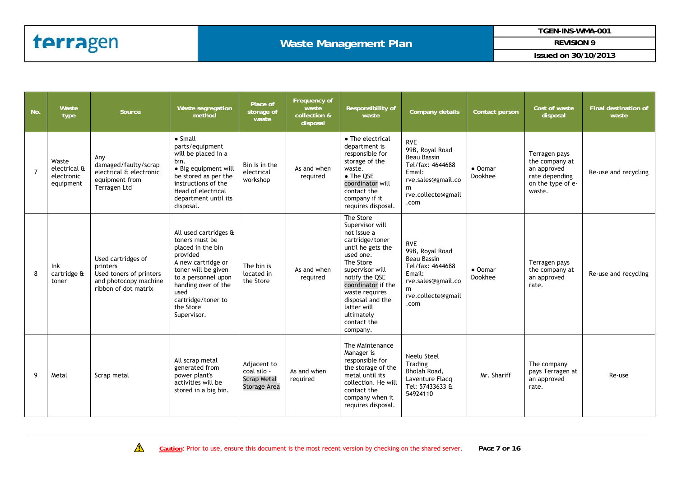#### **Waste Management Plan**

**TGEN-INS-WMA-001** 

**REVISION 9** 

| No.            | Waste<br>type                                    | <b>Source</b>                                                                                              | Waste segregation<br>method                                                                                                                                                                                                   | Place of<br>storage of<br>waste                                  | Frequency of<br>waste<br>collection &<br>disposal | Responsibility of<br>waste                                                                                                                                                                                                                                             | <b>Company details</b>                                                                                                                | Contact person     | Cost of waste<br>disposal                                                                       | <b>Final destination of</b><br>waste |
|----------------|--------------------------------------------------|------------------------------------------------------------------------------------------------------------|-------------------------------------------------------------------------------------------------------------------------------------------------------------------------------------------------------------------------------|------------------------------------------------------------------|---------------------------------------------------|------------------------------------------------------------------------------------------------------------------------------------------------------------------------------------------------------------------------------------------------------------------------|---------------------------------------------------------------------------------------------------------------------------------------|--------------------|-------------------------------------------------------------------------------------------------|--------------------------------------|
| $\overline{7}$ | Waste<br>electrical &<br>electronic<br>equipment | Any<br>damaged/faulty/scrap<br>electrical & electronic<br>equipment from<br>Terragen Ltd                   | $\bullet$ Small<br>parts/equipment<br>will be placed in a<br>bin.<br>• Big equipment will<br>be stored as per the<br>instructions of the<br>Head of electrical<br>department until its<br>disposal.                           | Bin is in the<br>electrical<br>workshop                          | As and when<br>required                           | • The electrical<br>department is<br>responsible for<br>storage of the<br>waste.<br>• The QSE<br>coordinator will<br>contact the<br>company if it<br>requires disposal.                                                                                                | <b>RVE</b><br>99B, Royal Road<br>Beau Bassin<br>Tel/fax: 4644688<br>Email:<br>rve.sales@gmail.co<br>m<br>rve.collecte@gmail<br>.com   | • Oomar<br>Dookhee | Terragen pays<br>the company at<br>an approved<br>rate depending<br>on the type of e-<br>waste. | Re-use and recycling                 |
| 8              | Ink<br>cartridge &<br>toner                      | Used cartridges of<br>printers<br>Used toners of printers<br>and photocopy machine<br>ribbon of dot matrix | All used cartridges &<br>toners must be<br>placed in the bin<br>provided<br>A new cartridge or<br>toner will be given<br>to a personnel upon<br>handing over of the<br>used<br>cartridge/toner to<br>the Store<br>Supervisor. | The bin is<br>located in<br>the Store                            | As and when<br>required                           | The Store<br>Supervisor will<br>not issue a<br>cartridge/toner<br>until he gets the<br>used one.<br>The Store<br>supervisor will<br>notify the QSE<br>coordinator if the<br>waste requires<br>disposal and the<br>latter will<br>ultimately<br>contact the<br>company. | <b>RVE</b><br>99B, Royal Road<br><b>Beau Bassin</b><br>Tel/fax: 4644688<br>Email:<br>rve.sales@gmail.co<br>rve.collecte@gmail<br>.com | • Oomar<br>Dookhee | Terragen pays<br>the company at<br>an approved<br>rate.                                         | Re-use and recycling                 |
| 9              | Metal                                            | Scrap metal                                                                                                | All scrap metal<br>generated from<br>power plant's<br>activities will be<br>stored in a big bin.                                                                                                                              | Adjacent to<br>coal silo -<br><b>Scrap Metal</b><br>Storage Area | As and when<br>required                           | The Maintenance<br>Manager is<br>responsible for<br>the storage of the<br>metal until its<br>collection. He will<br>contact the<br>company when it<br>requires disposal.                                                                                               | Neelu Steel<br>Trading<br>Bholah Road.<br>Laventure Flacq<br>Tel: 57433633 &<br>54924110                                              | Mr. Shariff        | The company<br>pays Terragen at<br>an approved<br>rate.                                         | Re-use                               |

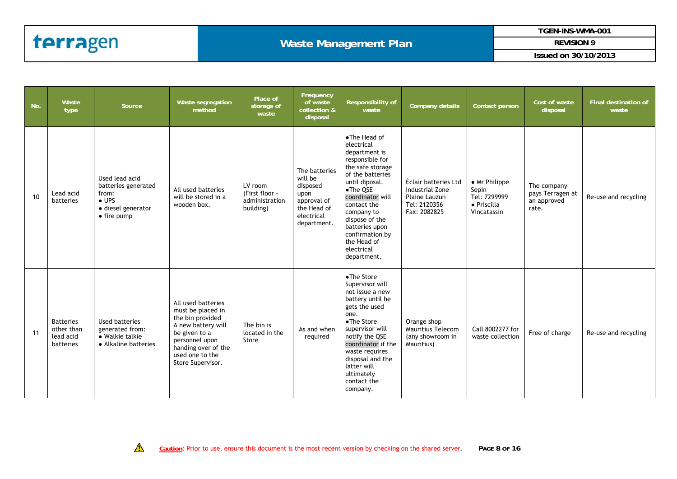**TGEN-INS-WMA-001** 

**REVISION 9** 

| No. | Waste<br>type                                            | Source                                                                                                       | Waste segregation<br>method                                                                                                                                                         | Place of<br>storage of<br>waste                          | Frequency<br>of waste<br>collection &<br>disposal                                                       | <b>Responsibility of</b><br>waste                                                                                                                                                                                                                                                        | <b>Company details</b>                                                                   | Contact person                                                       | Cost of waste<br>disposal                               | Final destination of<br>waste |
|-----|----------------------------------------------------------|--------------------------------------------------------------------------------------------------------------|-------------------------------------------------------------------------------------------------------------------------------------------------------------------------------------|----------------------------------------------------------|---------------------------------------------------------------------------------------------------------|------------------------------------------------------------------------------------------------------------------------------------------------------------------------------------------------------------------------------------------------------------------------------------------|------------------------------------------------------------------------------------------|----------------------------------------------------------------------|---------------------------------------------------------|-------------------------------|
| 10  | Lead acid<br>batteries                                   | Used lead acid<br>batteries generated<br>from:<br>$\bullet$ UPS<br>· diesel generator<br>$\bullet$ fire pump | All used batteries<br>will be stored in a<br>wooden box.                                                                                                                            | LV room<br>(First floor -<br>administration<br>building) | The batteries<br>will be<br>disposed<br>upon<br>approval of<br>the Head of<br>electrical<br>department. | •The Head of<br>electrical<br>department is<br>responsible for<br>the safe storage<br>of the batteries<br>until diposal.<br>•The QSE<br>coordinator will<br>contact the<br>company to<br>dispose of the<br>batteries upon<br>confirmation by<br>the Head of<br>electrical<br>department. | Éclair batteries Ltd<br>Industrial Zone<br>Plaine Lauzun<br>Tel: 2120356<br>Fax: 2082825 | • Mr Philippe<br>Sepin<br>Tel: 7299999<br>· Priscilla<br>Vincatassin | The company<br>pays Terragen at<br>an approved<br>rate. | Re-use and recycling          |
| 11  | <b>Batteries</b><br>other than<br>lead acid<br>batteries | Used batteries<br>generated from:<br>• Walkie talkie<br>• Alkaline batteries                                 | All used batteries<br>must be placed in<br>the bin provided<br>A new battery will<br>be given to a<br>personnel upon<br>handing over of the<br>used one to the<br>Store Supervisor. | The bin is<br>located in the<br>Store                    | As and when<br>required                                                                                 | •The Store<br>Supervisor will<br>not issue a new<br>battery until he<br>gets the used<br>one.<br>•The Store<br>supervisor will<br>notify the QSE<br>coordinator if the<br>waste requires<br>disposal and the<br>latter will<br>ultimately<br>contact the<br>company.                     | Orange shop<br>Mauritius Telecom<br>(any showroom in<br>Mauritius)                       | Call 8002277 for<br>waste collection                                 | Free of charge                                          | Re-use and recycling          |

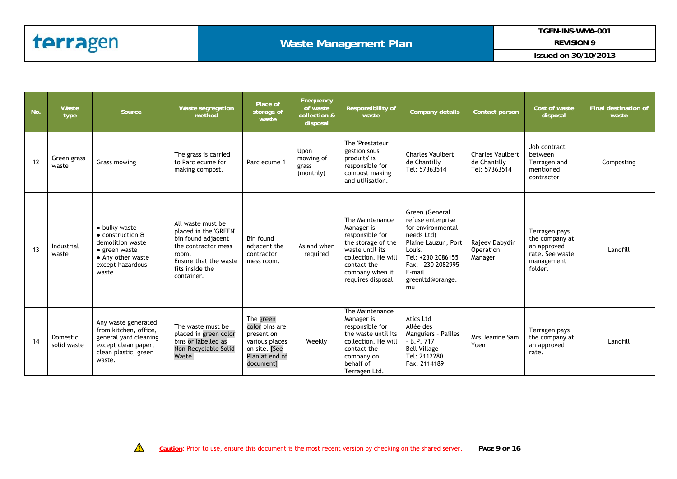#### **Waste Management Plan**

**TGEN-INS-WMA-001** 

**REVISION 9** 

| No. | Waste<br>type           | Source                                                                                                                                            | Waste segregation<br>method                                                                                                                                | Place of<br>storage of<br>waste                                                                             | Frequency<br>of waste<br>collection &<br>disposal | Responsibility of<br>waste                                                                                                                                               | Company details                                                                                                                                                                       | Contact person                                           | Cost of waste<br>disposal                                                                  | Final destination of<br>waste |
|-----|-------------------------|---------------------------------------------------------------------------------------------------------------------------------------------------|------------------------------------------------------------------------------------------------------------------------------------------------------------|-------------------------------------------------------------------------------------------------------------|---------------------------------------------------|--------------------------------------------------------------------------------------------------------------------------------------------------------------------------|---------------------------------------------------------------------------------------------------------------------------------------------------------------------------------------|----------------------------------------------------------|--------------------------------------------------------------------------------------------|-------------------------------|
| 12  | Green grass<br>waste    | Grass mowing                                                                                                                                      | The grass is carried<br>to Parc ecume for<br>making compost.                                                                                               | Parc ecume 1                                                                                                | Upon<br>mowing of<br>grass<br>(monthly)           | The 'Prestateur<br>gestion sous<br>produits' is<br>responsible for<br>compost making<br>and utilisation.                                                                 | <b>Charles Vaulbert</b><br>de Chantilly<br>Tel: 57363514                                                                                                                              | <b>Charles Vaulbert</b><br>de Chantilly<br>Tel: 57363514 | Job contract<br>between<br>Terragen and<br>mentioned<br>contractor                         | Composting                    |
| 13  | Industrial<br>waste     | • bulky waste<br>$\bullet$ construction $\mathbf{\hat{a}}$<br>demolition waste<br>• green waste<br>• Any other waste<br>except hazardous<br>waste | All waste must be<br>placed in the 'GREEN'<br>bin found adjacent<br>the contractor mess<br>room.<br>Ensure that the waste<br>fits inside the<br>container. | Bin found<br>adjacent the<br>contractor<br>mess room.                                                       | As and when<br>reguired                           | The Maintenance<br>Manager is<br>responsible for<br>the storage of the<br>waste until its<br>collection. He will<br>contact the<br>company when it<br>requires disposal. | Green (General<br>refuse enterprise<br>for environmental<br>needs Ltd)<br>Plaine Lauzun, Port<br>Louis.<br>Tel: +230 2086155<br>Fax: +230 2082995<br>E-mail<br>greenltd@orange.<br>mu | Rajeev Dabydin<br>Operation<br>Manager                   | Terragen pays<br>the company at<br>an approved<br>rate. See waste<br>management<br>folder. | Landfill                      |
| 14  | Domestic<br>solid waste | Any waste generated<br>from kitchen, office,<br>general yard cleaning<br>except clean paper,<br>clean plastic, green<br>waste.                    | The waste must be<br>placed in green color<br>bins or labelled as<br>Non-Recyclable Solid<br>Waste.                                                        | The green<br>color bins are<br>present on<br>various places<br>on site. [See<br>Plan at end of<br>document] | Weekly                                            | The Maintenance<br>Manager is<br>responsible for<br>the waste until its<br>collection. He will<br>contact the<br>company on<br>behalf of<br>Terragen Ltd.                | <b>Atics Ltd</b><br>Allée des<br>Manguiers - Pailles<br>$-B.P.717$<br><b>Bell Village</b><br>Tel: 2112280<br>Fax: 2114189                                                             | Mrs Jeanine Sam<br>Yuen                                  | Terragen pays<br>the company at<br>an approved<br>rate.                                    | Landfill                      |

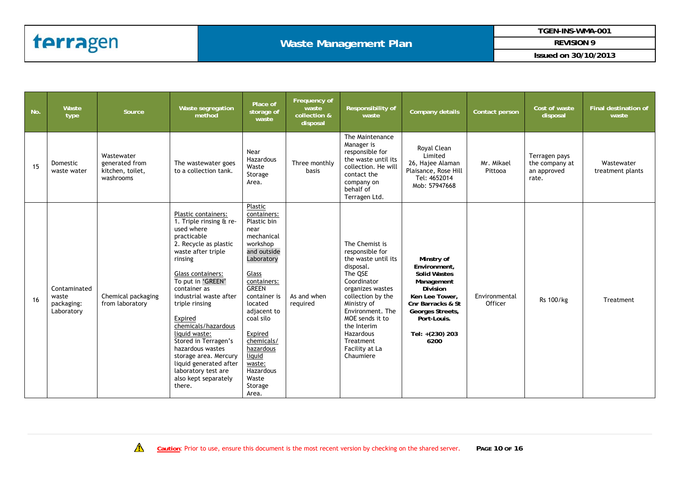#### **Waste Management Plan**

**TGEN-INS-WMA-001** 

**REVISION 9** 

| No. | Waste<br>type                                     | Source                                                        | Waste segregation<br>method                                                                                                                                                                                                                                                                                                                                                                                                                            | Place of<br>storage of<br>waste                                                                                                                                                                                                                                                                         | Frequency of<br>waste<br>collection &<br>disposal | Responsibility of<br>waste                                                                                                                                                                                                                                             | Company details                                                                                                                                                                         | Contact person           | Cost of waste<br>disposal                               | Final destination of<br>waste  |
|-----|---------------------------------------------------|---------------------------------------------------------------|--------------------------------------------------------------------------------------------------------------------------------------------------------------------------------------------------------------------------------------------------------------------------------------------------------------------------------------------------------------------------------------------------------------------------------------------------------|---------------------------------------------------------------------------------------------------------------------------------------------------------------------------------------------------------------------------------------------------------------------------------------------------------|---------------------------------------------------|------------------------------------------------------------------------------------------------------------------------------------------------------------------------------------------------------------------------------------------------------------------------|-----------------------------------------------------------------------------------------------------------------------------------------------------------------------------------------|--------------------------|---------------------------------------------------------|--------------------------------|
| 15  | Domestic<br>waste water                           | Wastewater<br>generated from<br>kitchen, toilet,<br>washrooms | The wastewater goes<br>to a collection tank.                                                                                                                                                                                                                                                                                                                                                                                                           | Near<br>Hazardous<br>Waste<br>Storage<br>Area.                                                                                                                                                                                                                                                          | Three monthly<br>basis                            | The Maintenance<br>Manager is<br>responsible for<br>the waste until its<br>collection. He will<br>contact the<br>company on<br>behalf of<br>Terragen Ltd.                                                                                                              | Royal Clean<br>Limited<br>26, Hajee Alaman<br>Plaisance, Rose Hill<br>Tel: 4652014<br>Mob: 57947668                                                                                     | Mr. Mikael<br>Pittooa    | Terragen pays<br>the company at<br>an approved<br>rate. | Wastewater<br>treatment plants |
| 16  | Contaminated<br>waste<br>packaging:<br>Laboratory | Chemical packaging<br>from laboratory                         | Plastic containers:<br>1. Triple rinsing & re-<br>used where<br>practicable<br>2. Recycle as plastic<br>waste after triple<br>rinsing<br>Glass containers:<br>To put in 'GREEN'<br>container as<br>industrial waste after<br>triple rinsing<br>Expired<br>chemicals/hazardous<br>liquid waste:<br>Stored in Terragen's<br>hazardous wastes<br>storage area. Mercury<br>liquid generated after<br>laboratory test are<br>also kept separately<br>there. | Plastic<br>containers:<br>Plastic bin<br>near<br>mechanical<br>workshop<br>and outside<br>Laboratory<br>Glass<br>containers:<br><b>GREEN</b><br>container is<br>located<br>adjacent to<br>coal silo<br>Expired<br>chemicals/<br>hazardous<br>liquid<br>waste:<br>Hazardous<br>Waste<br>Storage<br>Area. | As and when<br>required                           | The Chemist is<br>responsible for<br>the waste until its<br>disposal.<br>The QSE<br>Coordinator<br>organizes wastes<br>collection by the<br>Ministry of<br>Environment. The<br>MOE sends it to<br>the Interim<br>Hazardous<br>Treatment<br>Facility at La<br>Chaumiere | Minstry of<br>Environment,<br><b>Solid Wastes</b><br>Management<br><b>Division</b><br>Ken Lee Tower,<br>Cnr Barracks & St<br>Georges Streets,<br>Port-Louis.<br>Tel: +(230) 203<br>6200 | Environmental<br>Officer | Rs 100/kg                                               | Treatment                      |

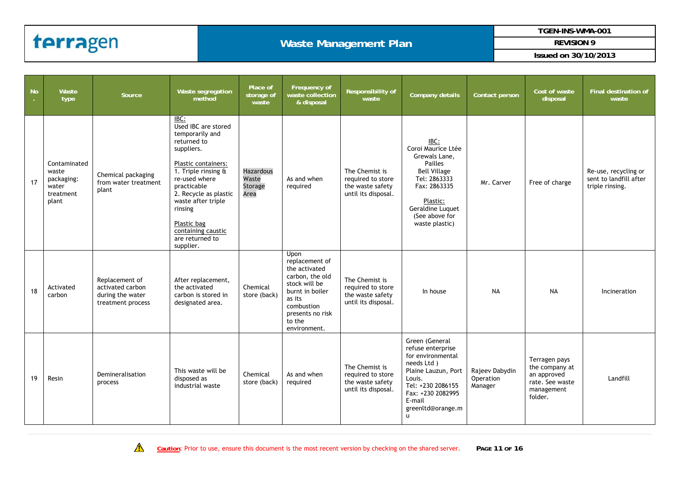#### **Waste Management Plan**

**TGEN-INS-WMA-001** 

**REVISION 9** 

| <br>  No | Waste<br>type                                                      | Source                                                                      | Waste segregation<br>method                                                                                                                                                                                                                                                              | Place of<br>storage of<br>waste              | Frequency of<br>waste collection<br>& disposal                                                                                                                       | Responsibility of<br>waste                                                     | Company details                                                                                                                                                                                  | Contact person                         | Cost of waste<br>disposal                                                                  | <b>Final destination of</b><br>waste                              |
|----------|--------------------------------------------------------------------|-----------------------------------------------------------------------------|------------------------------------------------------------------------------------------------------------------------------------------------------------------------------------------------------------------------------------------------------------------------------------------|----------------------------------------------|----------------------------------------------------------------------------------------------------------------------------------------------------------------------|--------------------------------------------------------------------------------|--------------------------------------------------------------------------------------------------------------------------------------------------------------------------------------------------|----------------------------------------|--------------------------------------------------------------------------------------------|-------------------------------------------------------------------|
| 17       | Contaminated<br>waste<br>packaging:<br>water<br>treatment<br>plant | Chemical packaging<br>from water treatment<br>plant                         | IBC:<br>Used IBC are stored<br>temporarily and<br>returned to<br>suppliers.<br>Plastic containers:<br>1. Triple rinsing &<br>re-used where<br>practicable<br>2. Recycle as plastic<br>waste after triple<br>rinsing<br>Plastic bag<br>containing caustic<br>are returned to<br>supplier. | <b>Hazardous</b><br>Waste<br>Storage<br>Area | As and when<br>required                                                                                                                                              | The Chemist is<br>required to store<br>the waste safety<br>until its disposal. | IBC:<br>Coroi Maurice Ltée<br>Grewals Lane,<br>Pailles<br><b>Bell Village</b><br>Tel: 2863333<br>Fax: 2863335<br>Plastic:<br>Geraldine Luquet<br>(See above for<br>waste plastic)                | Mr. Carver                             | Free of charge                                                                             | Re-use, recycling or<br>sent to landfill after<br>triple rinsing. |
| 18       | Activated<br>carbon                                                | Replacement of<br>activated carbon<br>during the water<br>treatment process | After replacement,<br>the activated<br>carbon is stored in<br>designated area.                                                                                                                                                                                                           | Chemical<br>store (back)                     | Upon<br>replacement of<br>the activated<br>carbon, the old<br>stock will be<br>burnt in boiler<br>as its<br>combustion<br>presents no risk<br>to the<br>environment. | The Chemist is<br>required to store<br>the waste safety<br>until its disposal. | In house                                                                                                                                                                                         | <b>NA</b>                              | <b>NA</b>                                                                                  | Incineration                                                      |
| 19       | Resin                                                              | Demineralisation<br>process                                                 | This waste will be<br>disposed as<br>industrial waste                                                                                                                                                                                                                                    | Chemical<br>store (back)                     | As and when<br>required                                                                                                                                              | The Chemist is<br>required to store<br>the waste safety<br>until its disposal. | Green (General<br>refuse enterprise<br>for environmental<br>needs Ltd)<br>Plaine Lauzun, Port<br>Louis.<br>Tel: +230 2086155<br>Fax: +230 2082995<br>E-mail<br>greenltd@orange.m<br>$\mathbf{u}$ | Rajeev Dabydin<br>Operation<br>Manager | Terragen pays<br>the company at<br>an approved<br>rate. See waste<br>management<br>folder. | Landfill                                                          |

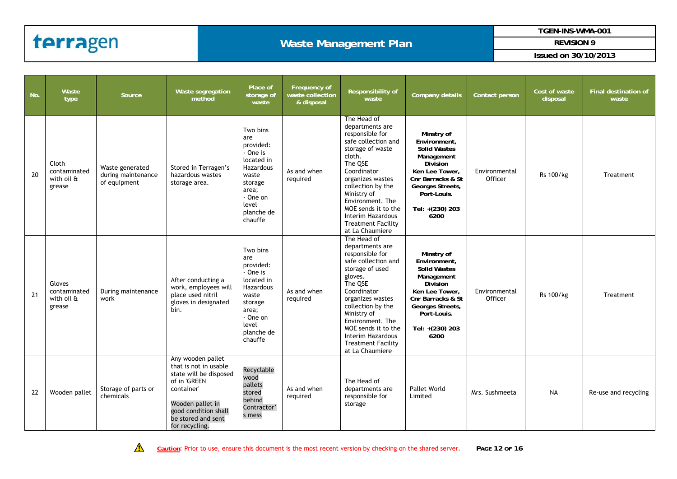#### **Waste Management Plan**

**TGEN-INS-WMA-001** 

**REVISION 9** 

| No. | Waste<br>type                                  | Source                                                | Waste segregation<br>method                                                                                                                                                            | Place of<br>storage of<br>waste                                                                                                                | Frequency of<br>waste collection<br>& disposal | Responsibility of<br>waste                                                                                                                                                                                                                                                                               | <b>Company details</b>                                                                                                                                                                  | Contact person           | Cost of waste<br>disposal | <b>Final destination of</b><br>waste |
|-----|------------------------------------------------|-------------------------------------------------------|----------------------------------------------------------------------------------------------------------------------------------------------------------------------------------------|------------------------------------------------------------------------------------------------------------------------------------------------|------------------------------------------------|----------------------------------------------------------------------------------------------------------------------------------------------------------------------------------------------------------------------------------------------------------------------------------------------------------|-----------------------------------------------------------------------------------------------------------------------------------------------------------------------------------------|--------------------------|---------------------------|--------------------------------------|
| 20  | Cloth<br>contaminated<br>with oil &<br>grease  | Waste generated<br>during maintenance<br>of equipment | Stored in Terragen's<br>hazardous wastes<br>storage area.                                                                                                                              | Two bins<br>are<br>provided:<br>- One is<br>located in<br>Hazardous<br>waste<br>storage<br>area;<br>- One on<br>level<br>planche de<br>chauffe | As and when<br>required                        | The Head of<br>departments are<br>responsible for<br>safe collection and<br>storage of waste<br>cloth.<br>The QSE<br>Coordinator<br>organizes wastes<br>collection by the<br>Ministry of<br>Environment. The<br>MOE sends it to the<br>Interim Hazardous<br><b>Treatment Facility</b><br>at La Chaumiere | Minstry of<br>Environment,<br><b>Solid Wastes</b><br>Management<br><b>Division</b><br>Ken Lee Tower,<br>Cnr Barracks & St<br>Georges Streets,<br>Port-Louis.<br>Tel: +(230) 203<br>6200 | Environmental<br>Officer | Rs 100/kg                 | Treatment                            |
| 21  | Gloves<br>contaminated<br>with oil &<br>grease | During maintenance<br>work                            | After conducting a<br>work, employees will<br>place used nitril<br>gloves in designated<br>bin.                                                                                        | Two bins<br>are<br>provided:<br>- One is<br>located in<br>Hazardous<br>waste<br>storage<br>area;<br>- One on<br>level<br>planche de<br>chauffe | As and when<br>required                        | The Head of<br>departments are<br>responsible for<br>safe collection and<br>storage of used<br>gloves.<br>The QSE<br>Coordinator<br>organizes wastes<br>collection by the<br>Ministry of<br>Environment. The<br>MOE sends it to the<br>Interim Hazardous<br><b>Treatment Facility</b><br>at La Chaumiere | Minstry of<br>Environment,<br><b>Solid Wastes</b><br>Management<br><b>Division</b><br>Ken Lee Tower,<br>Cnr Barracks & St<br>Georges Streets,<br>Port-Louis.<br>Tel: +(230) 203<br>6200 | Environmental<br>Officer | Rs 100/kg                 | Treatment                            |
| 22  | Wooden pallet                                  | Storage of parts or<br>chemicals                      | Any wooden pallet<br>that is not in usable<br>state will be disposed<br>of in 'GREEN<br>container'<br>Wooden pallet in<br>good condition shall<br>be stored and sent<br>for recycling. | Recyclable<br>wood<br>pallets<br>stored<br>behind<br>Contractor'<br>s mess                                                                     | As and when<br>required                        | The Head of<br>departments are<br>responsible for<br>storage                                                                                                                                                                                                                                             | <b>Pallet World</b><br>Limited                                                                                                                                                          | Mrs. Sushmeeta           | <b>NA</b>                 | Re-use and recycling                 |

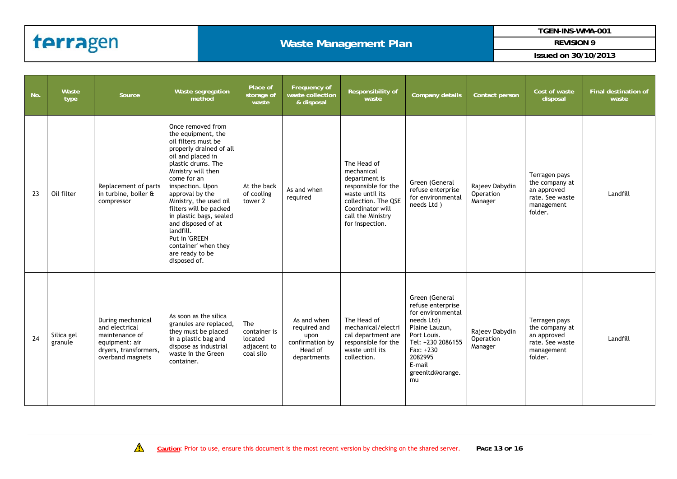#### **Waste Management Plan**

**TGEN-INS-WMA-001** 

**REVISION 9** 

| No. | Waste<br>type         | Source                                                                                                               | Waste segregation<br>method                                                                                                                                                                                                                                                                                                                                                                                    | Place of<br>storage of<br>waste                            | Frequency of<br>waste collection<br>& disposal                                   | Responsibility of<br>waste                                                                                                                                              | <b>Company details</b>                                                                                                                                                                   | Contact person                         | Cost of waste<br>disposal                                                                  | Final destination of<br>waste |
|-----|-----------------------|----------------------------------------------------------------------------------------------------------------------|----------------------------------------------------------------------------------------------------------------------------------------------------------------------------------------------------------------------------------------------------------------------------------------------------------------------------------------------------------------------------------------------------------------|------------------------------------------------------------|----------------------------------------------------------------------------------|-------------------------------------------------------------------------------------------------------------------------------------------------------------------------|------------------------------------------------------------------------------------------------------------------------------------------------------------------------------------------|----------------------------------------|--------------------------------------------------------------------------------------------|-------------------------------|
| 23  | Oil filter            | Replacement of parts<br>in turbine, boiler &<br>compressor                                                           | Once removed from<br>the equipment, the<br>oil filters must be<br>properly drained of all<br>oil and placed in<br>plastic drums. The<br>Ministry will then<br>come for an<br>inspection. Upon<br>approval by the<br>Ministry, the used oil<br>filters will be packed<br>in plastic bags, sealed<br>and disposed of at<br>landfill.<br>Put in 'GREEN<br>container' when they<br>are ready to be<br>disposed of. | At the back<br>of cooling<br>tower 2                       | As and when<br>required                                                          | The Head of<br>mechanical<br>department is<br>responsible for the<br>waste until its<br>collection. The QSE<br>Coordinator will<br>call the Ministry<br>for inspection. | Green (General<br>refuse enterprise<br>for environmental<br>needs Ltd)                                                                                                                   | Rajeev Dabydin<br>Operation<br>Manager | Terragen pays<br>the company at<br>an approved<br>rate. See waste<br>management<br>folder. | Landfill                      |
| 24  | Silica gel<br>granule | During mechanical<br>and electrical<br>maintenance of<br>equipment: air<br>dryers, transformers,<br>overband magnets | As soon as the silica<br>granules are replaced,<br>they must be placed<br>in a plastic bag and<br>dispose as industrial<br>waste in the Green<br>container.                                                                                                                                                                                                                                                    | The<br>container is<br>located<br>adjacent to<br>coal silo | As and when<br>required and<br>upon<br>confirmation by<br>Head of<br>departments | The Head of<br>mechanical/electri<br>cal department are<br>responsible for the<br>waste until its<br>collection.                                                        | Green (General<br>refuse enterprise<br>for environmental<br>needs Ltd)<br>Plaine Lauzun,<br>Port Louis.<br>Tel: +230 2086155<br>Fax: +230<br>2082995<br>E-mail<br>greenltd@orange.<br>mu | Rajeev Dabydin<br>Operation<br>Manager | Terragen pays<br>the company at<br>an approved<br>rate. See waste<br>management<br>folder. | Landfill                      |

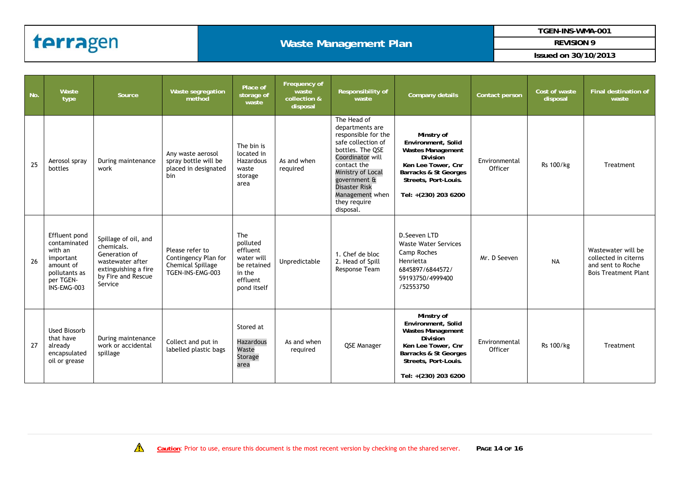#### **Waste Management Plan**

**TGEN-INS-WMA-001** 

**REVISION 9** 

| No. | Waste<br>type                                                                                                   | Source                                                                                                                           | Waste segregation<br>method                                                      | Place of<br>storage of<br>waste                                                               | Frequency of<br>waste<br>collection &<br>disposal | Responsibility of<br>waste                                                                                                                                                                                                                      | Company details                                                                                                                                                                | Contact person           | Cost of waste<br>disposal | <b>Final destination of</b><br>waste                                                           |
|-----|-----------------------------------------------------------------------------------------------------------------|----------------------------------------------------------------------------------------------------------------------------------|----------------------------------------------------------------------------------|-----------------------------------------------------------------------------------------------|---------------------------------------------------|-------------------------------------------------------------------------------------------------------------------------------------------------------------------------------------------------------------------------------------------------|--------------------------------------------------------------------------------------------------------------------------------------------------------------------------------|--------------------------|---------------------------|------------------------------------------------------------------------------------------------|
| 25  | Aerosol spray<br>bottles                                                                                        | During maintenance<br>work                                                                                                       | Any waste aerosol<br>spray bottle will be<br>placed in designated<br>bin         | The bin is<br>located in<br>Hazardous<br>waste<br>storage<br>area                             | As and when<br>required                           | The Head of<br>departments are<br>responsible for the<br>safe collection of<br>bottles. The QSE<br>Coordinator will<br>contact the<br>Ministry of Local<br>government &<br><b>Disaster Risk</b><br>Management when<br>they require<br>disposal. | Minstry of<br>Environment, Solid<br><b>Wastes Management</b><br><b>Division</b><br>Ken Lee Tower, Cnr<br>Barracks & St Georges<br>Streets, Port-Louis.<br>Tel: +(230) 203 6200 | Environmental<br>Officer | Rs 100/kg                 | Treatment                                                                                      |
| 26  | Effluent pond<br>contaminated<br>with an<br>important<br>amount of<br>pollutants as<br>per TGEN-<br>INS-EMG-003 | Spillage of oil, and<br>chemicals.<br>Generation of<br>wastewater after<br>extinguishing a fire<br>by Fire and Rescue<br>Service | Please refer to<br>Contingency Plan for<br>Chemical Spillage<br>TGEN-INS-EMG-003 | The<br>polluted<br>effluent<br>water will<br>be retained<br>in the<br>effluent<br>pond itself | Unpredictable                                     | 1. Chef de bloc<br>2. Head of Spill<br>Response Team                                                                                                                                                                                            | D. Seeven LTD<br><b>Waste Water Services</b><br>Camp Roches<br>Henrietta<br>6845897/6844572/<br>59193750/4999400<br>/52553750                                                  | Mr. D Seeven             | <b>NA</b>                 | Wastewater will be<br>collected in citerns<br>and sent to Roche<br><b>Bois Treatment Plant</b> |
| 27  | <b>Used Biosorb</b><br>that have<br>already<br>encapsulated<br>oil or grease                                    | During maintenance<br>work or accidental<br>spillage                                                                             | Collect and put in<br>labelled plastic bags                                      | Stored at<br><b>Hazardous</b><br>Waste<br>Storage<br>area                                     | As and when<br>required                           | QSE Manager                                                                                                                                                                                                                                     | Minstry of<br>Environment, Solid<br><b>Wastes Management</b><br><b>Division</b><br>Ken Lee Tower, Cnr<br>Barracks & St Georges<br>Streets, Port-Louis.<br>Tel: +(230) 203 6200 | Environmental<br>Officer | Rs 100/kg                 | Treatment                                                                                      |

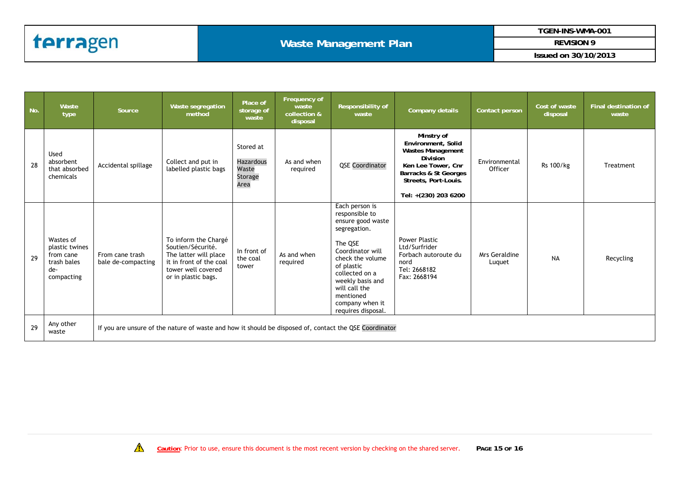**REVISION 9** 

| No. | Waste<br>type                                                                | Source                                                                                                 | Waste segregation<br>method                                                                                                                | Place of<br>storage of<br>waste                           | Frequency of<br>waste<br>collection &<br>disposal | Responsibility of<br>waste                                                                                                                                                                                                                          | Company details                                                                                                                                                         | Contact person           | Cost of waste<br>disposal | <b>Final destination of</b><br>waste |
|-----|------------------------------------------------------------------------------|--------------------------------------------------------------------------------------------------------|--------------------------------------------------------------------------------------------------------------------------------------------|-----------------------------------------------------------|---------------------------------------------------|-----------------------------------------------------------------------------------------------------------------------------------------------------------------------------------------------------------------------------------------------------|-------------------------------------------------------------------------------------------------------------------------------------------------------------------------|--------------------------|---------------------------|--------------------------------------|
| 28  | Used<br>absorbent<br>that absorbed<br>chemicals                              | Accidental spillage                                                                                    | Collect and put in<br>labelled plastic bags                                                                                                | Stored at<br><b>Hazardous</b><br>Waste<br>Storage<br>Area | As and when<br>required                           | <b>QSE Coordinator</b>                                                                                                                                                                                                                              | Minstry of<br>Environment, Solid<br>Wastes Management<br><b>Division</b><br>Ken Lee Tower, Cnr<br>Barracks & St Georges<br>Streets, Port-Louis.<br>Tel: +(230) 203 6200 | Environmental<br>Officer | Rs 100/kg                 | Treatment                            |
| 29  | Wastes of<br>plastic twines<br>from cane<br>trash bales<br>de-<br>compacting | From cane trash<br>bale de-compacting                                                                  | To inform the Chargé<br>Soutien/Sécurité.<br>The latter will place<br>it in front of the coal<br>tower well covered<br>or in plastic bags. | In front of<br>the coal<br>tower                          | As and when<br>required                           | Each person is<br>responsible to<br>ensure good waste<br>segregation.<br>The QSE<br>Coordinator will<br>check the volume<br>of plastic<br>collected on a<br>weekly basis and<br>will call the<br>mentioned<br>company when it<br>requires disposal. | <b>Power Plastic</b><br>Ltd/Surfrider<br>Forbach autoroute du<br>nord<br>Tel: 2668182<br>Fax: 2668194                                                                   | Mrs Geraldine<br>Luquet  | <b>NA</b>                 | Recycling                            |
| 29  | Any other<br>waste                                                           | If you are unsure of the nature of waste and how it should be disposed of, contact the QSE Coordinator |                                                                                                                                            |                                                           |                                                   |                                                                                                                                                                                                                                                     |                                                                                                                                                                         |                          |                           |                                      |